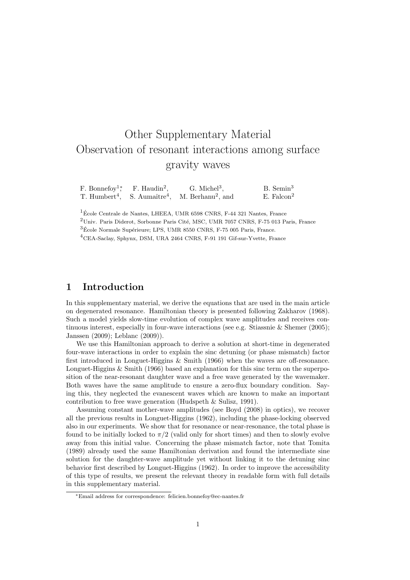# Other Supplementary Material Observation of resonant interactions among surface gravity waves

F. Bonnefoy<sup>1</sup><sup>∗</sup> F. Haudin<sup>2</sup>.  $G.$  Michel<sup>3</sup>. B. Semin<sup>3</sup> T. Humbert<sup>4</sup>, S. Aumaître $4$ , M. Berhanu<sup>2</sup>, and  $E$ . Falcon<sup>2</sup>

 $1\text{École Centrale}$  de Nantes, LHEEA, UMR 6598 CNRS, F-44 321 Nantes, France

 $2$ Univ. Paris Diderot, Sorbonne Paris Cité, MSC, UMR 7057 CNRS, F-75 013 Paris, France

 $3$ École Normale Supérieure; LPS, UMR 8550 CNRS, F-75 005 Paris, France.

<sup>4</sup>CEA-Saclay, Sphynx, DSM, URA 2464 CNRS, F-91 191 Gif-sur-Yvette, France

# 1 Introduction

In this supplementary material, we derive the equations that are used in the main article on degenerated resonance. Hamiltonian theory is presented following Zakharov (1968). Such a model yields slow-time evolution of complex wave amplitudes and receives continuous interest, especially in four-wave interactions (see e.g. Stiassnie & Shemer (2005); Janssen (2009); Leblanc (2009)).

We use this Hamiltonian approach to derive a solution at short-time in degenerated four-wave interactions in order to explain the sinc detuning (or phase mismatch) factor first introduced in Longuet-Higgins & Smith (1966) when the waves are off-resonance. Longuet-Higgins & Smith (1966) based an explanation for this sinc term on the superposition of the near-resonant daughter wave and a free wave generated by the wavemaker. Both waves have the same amplitude to ensure a zero-flux boundary condition. Saying this, they neglected the evanescent waves which are known to make an important contribution to free wave generation (Hudspeth & Sulisz, 1991).

Assuming constant mother-wave amplitudes (see Boyd (2008) in optics), we recover all the previous results in Longuet-Higgins (1962), including the phase-locking observed also in our experiments. We show that for resonance or near-resonance, the total phase is found to be initially locked to  $\pi/2$  (valid only for short times) and then to slowly evolve away from this initial value. Concerning the phase mismatch factor, note that Tomita (1989) already used the same Hamiltonian derivation and found the intermediate sine solution for the daughter-wave amplitude yet without linking it to the detuning sinc behavior first described by Longuet-Higgins (1962). In order to improve the accessibility of this type of results, we present the relevant theory in readable form with full details in this supplementary material.

<sup>∗</sup>Email address for correspondence: felicien.bonnefoy@ec-nantes.fr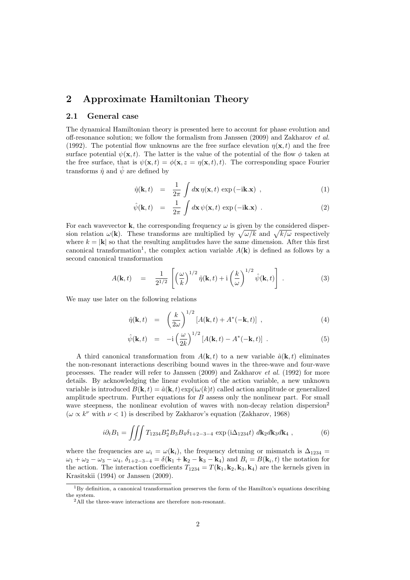# 2 Approximate Hamiltonian Theory

## 2.1 General case

The dynamical Hamiltonian theory is presented here to account for phase evolution and off-resonance solution; we follow the formalism from Janssen (2009) and Zakharov et al. (1992). The potential flow unknowns are the free surface elevation  $\eta(\mathbf{x},t)$  and the free surface potential  $\psi(\mathbf{x}, t)$ . The latter is the value of the potential of the flow  $\phi$  taken at the free surface, that is  $\psi(\mathbf{x}, t) = \phi(\mathbf{x}, z = \eta(\mathbf{x}, t), t)$ . The corresponding space Fourier transforms  $\hat{\eta}$  and  $\hat{\psi}$  are defined by

$$
\hat{\eta}(\mathbf{k},t) = \frac{1}{2\pi} \int d\mathbf{x} \, \eta(\mathbf{x},t) \, \exp\left(-i\mathbf{k}.\mathbf{x}\right) \,, \tag{1}
$$

$$
\hat{\psi}(\mathbf{k},t) = \frac{1}{2\pi} \int d\mathbf{x} \, \psi(\mathbf{x},t) \, \exp\left(-i\mathbf{k}.\mathbf{x}\right) \, . \tag{2}
$$

For each wavevector **k**, the corresponding frequency  $\omega$  is given by the considered dispersion relation  $\omega(\mathbf{k})$ . These transforms are multiplied by  $\sqrt{\omega/k}$  and  $\sqrt{k/\omega}$  respectively where  $k = |\mathbf{k}|$  so that the resulting amplitudes have the same dimension. After this first canonical transformation<sup>1</sup>, the complex action variable  $A(\mathbf{k})$  is defined as follows by a second canonical transformation

$$
A(\mathbf{k},t) = \frac{1}{2^{1/2}} \left[ \left(\frac{\omega}{k}\right)^{1/2} \hat{\eta}(\mathbf{k},t) + i \left(\frac{k}{\omega}\right)^{1/2} \hat{\psi}(\mathbf{k},t) \right]. \tag{3}
$$

We may use later on the following relations

$$
\hat{\eta}(\mathbf{k},t) = \left(\frac{k}{2\omega}\right)^{1/2} \left[A(\mathbf{k},t) + A^*(-\mathbf{k},t)\right],\tag{4}
$$

$$
\hat{\psi}(\mathbf{k},t) = -\mathrm{i} \left(\frac{\omega}{2k}\right)^{1/2} \left[A(\mathbf{k},t) - A^*(-\mathbf{k},t)\right] \ . \tag{5}
$$

A third canonical transformation from  $A(\mathbf{k}, t)$  to a new variable  $\hat{a}(\mathbf{k}, t)$  eliminates the non-resonant interactions describing bound waves in the three-wave and four-wave processes. The reader will refer to Janssen (2009) and Zakharov et al. (1992) for more details. By acknowledging the linear evolution of the action variable, a new unknown variable is introduced  $B(\mathbf{k}, t) = \hat{a}(\mathbf{k}, t) \exp(i\omega(k)t)$  called action amplitude or generalized amplitude spectrum. Further equations for  $B$  assess only the nonlinear part. For small wave steepness, the nonlinear evolution of waves with non-decay relation dispersion<sup>2</sup>  $(\omega \propto k^{\nu}$  with  $\nu < 1)$  is described by Zakharov's equation (Zakharov, 1968)

$$
i\partial_t B_1 = \iiint T_{1234} B_2^* B_3 B_4 \delta_{1+2-3-4} \exp(i\Delta_{1234}t) \ d\mathbf{k}_2 d\mathbf{k}_3 d\mathbf{k}_4 \ , \tag{6}
$$

where the frequencies are  $\omega_i = \omega(\mathbf{k}_i)$ , the frequency detuning or mismatch is  $\Delta_{1234} =$  $\omega_1 + \omega_2 - \omega_3 - \omega_4$ ,  $\delta_{1+2-3-4} = \delta(\mathbf{k}_1 + \mathbf{k}_2 - \mathbf{k}_3 - \mathbf{k}_4)$  and  $B_i = B(\mathbf{k}_i, t)$  the notation for the action. The interaction coefficients  $T_{1234} = T(\mathbf{k}_1, \mathbf{k}_2, \mathbf{k}_3, \mathbf{k}_4)$  are the kernels given in Krasitskii (1994) or Janssen (2009).

<sup>&</sup>lt;sup>1</sup>By definition, a canonical transformation preserves the form of the Hamilton's equations describing the system.

<sup>&</sup>lt;sup>2</sup>All the three-wave interactions are therefore non-resonant.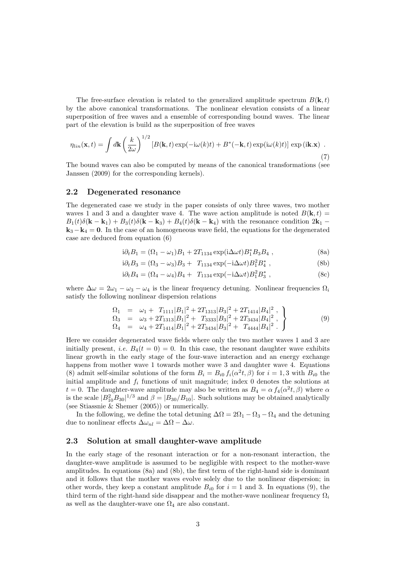The free-surface elevation is related to the generalized amplitude spectrum  $B(\mathbf{k}, t)$ by the above canonical transformations. The nonlinear elevation consists of a linear superposition of free waves and a ensemble of corresponding bound waves. The linear part of the elevation is build as the superposition of free waves

$$
\eta_{lin}(\mathbf{x},t) = \int d\mathbf{k} \left(\frac{k}{2\omega}\right)^{1/2} \left[B(\mathbf{k},t)\exp(-i\omega(k)t) + B^*(-\mathbf{k},t)\exp(i\omega(k)t)\right] \exp(i\mathbf{k}.\mathbf{x}) \tag{7}
$$

The bound waves can also be computed by means of the canonical transformations (see Janssen (2009) for the corresponding kernels).

# 2.2 Degenerated resonance

The degenerated case we study in the paper consists of only three waves, two mother waves 1 and 3 and a daughter wave 4. The wave action amplitude is noted  $B(\mathbf{k}, t) =$  $B_1(t)\delta(\mathbf{k}-\mathbf{k}_1)+B_3(t)\delta(\mathbf{k}-\mathbf{k}_3)+B_4(t)\delta(\mathbf{k}-\mathbf{k}_4)$  with the resonance condition  $2\mathbf{k}_1$  –  $k_3 - k_4 = 0$ . In the case of an homogeneous wave field, the equations for the degenerated case are deduced from equation (6)

$$
i\partial_t B_1 = (\Omega_1 - \omega_1)B_1 + 2T_{1134} \exp(i\Delta\omega t)B_1^* B_3 B_4 , \qquad (8a)
$$

$$
i\partial_t B_3 = (\Omega_3 - \omega_3)B_3 + T_{1134} \exp(-i\Delta\omega t) B_1^2 B_4^*,
$$
 (8b)

$$
i\partial_t B_4 = (\Omega_4 - \omega_4)B_4 + T_{1134} \exp(-i\Delta\omega t)B_1^2 B_3^*,
$$
\n(8c)

where  $\Delta \omega = 2\omega_1 - \omega_3 - \omega_4$  is the linear frequency detuning. Nonlinear frequencies  $\Omega_i$ satisfy the following nonlinear dispersion relations

$$
\begin{array}{rcl}\n\Omega_1 & = & \omega_1 + T_{1111}|B_1|^2 + 2T_{1313}|B_3|^2 + 2T_{1414}|B_4|^2 \,, \\
\Omega_3 & = & \omega_3 + 2T_{1313}|B_1|^2 + T_{3333}|B_3|^2 + 2T_{3434}|B_4|^2 \,, \\
\Omega_4 & = & \omega_4 + 2T_{1414}|B_1|^2 + 2T_{3434}|B_3|^2 + T_{4444}|B_4|^2 \,. \end{array}\n\tag{9}
$$

Here we consider degenerated wave fields where only the two mother waves 1 and 3 are initially present, *i.e.*  $B_4(t = 0) = 0$ . In this case, the resonant daughter wave exhibits linear growth in the early stage of the four-wave interaction and an energy exchange happens from mother wave 1 towards mother wave 3 and daughter wave 4. Equations (8) admit self-similar solutions of the form  $B_i = B_{i0} f_i(\alpha^2 t, \beta)$  for  $i = 1, 3$  with  $B_{i0}$  the initial amplitude and  $f_i$  functions of unit magnitude; index  $\hat{0}$  denotes the solutions at  $t = 0$ . The daughter-wave amplitude may also be written as  $B_4 = \alpha f_4(\alpha^2 t, \beta)$  where  $\alpha$ is the scale  $|B_{10}^2 B_{30}|^{1/3}$  and  $\beta = |B_{30}/B_{10}|$ . Such solutions may be obtained analytically (see Stiassnie & Shemer (2005)) or numerically.

In the following, we define the total detuning  $\Delta\Omega = 2\Omega_1 - \Omega_3 - \Omega_4$  and the detuning due to nonlinear effects  $\Delta \omega_{nl} = \Delta \Omega - \Delta \omega$ .

## 2.3 Solution at small daughter-wave amplitude

In the early stage of the resonant interaction or for a non-resonant interaction, the daughter-wave amplitude is assumed to be negligible with respect to the mother-wave amplitudes. In equations (8a) and (8b), the first term of the right-hand side is dominant and it follows that the mother waves evolve solely due to the nonlinear dispersion; in other words, they keep a constant amplitude  $B_{i0}$  for  $i = 1$  and 3. In equations (9), the third term of the right-hand side disappear and the mother-wave nonlinear frequency  $\Omega_i$ as well as the daughter-wave one  $\Omega_4$  are also constant.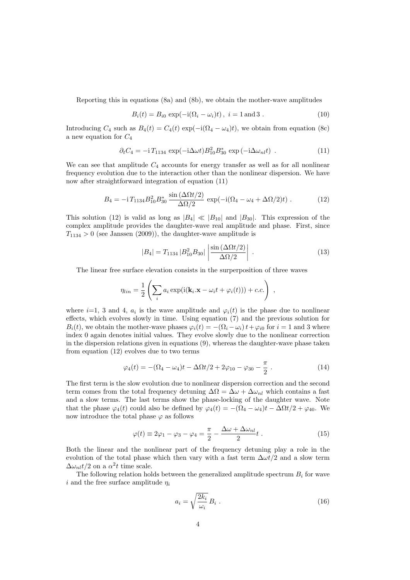Reporting this in equations (8a) and (8b), we obtain the mother-wave amplitudes

$$
B_i(t) = B_{i0} \exp(-i(\Omega_i - \omega_i)t), \ i = 1 \text{ and } 3. \tag{10}
$$

Introducing  $C_4$  such as  $B_4(t) = C_4(t) \exp(-i(\Omega_4 - \omega_4)t)$ , we obtain from equation (8c) a new equation for  $C_4$ 

$$
\partial_t C_4 = -\mathrm{i} T_{1134} \exp(-\mathrm{i} \Delta \omega t) B_{10}^2 B_{30}^* \exp(-\mathrm{i} \Delta \omega_{nl} t) \tag{11}
$$

We can see that amplitude  $C_4$  accounts for energy transfer as well as for all nonlinear frequency evolution due to the interaction other than the nonlinear dispersion. We have now after straightforward integration of equation (11)

$$
B_4 = -\mathrm{i} T_{1134} B_{10}^2 B_{30}^* \frac{\sin(\Delta \Omega t/2)}{\Delta \Omega/2} \exp(-\mathrm{i}(\Omega_4 - \omega_4 + \Delta \Omega/2)t) \,. \tag{12}
$$

This solution (12) is valid as long as  $|B_4| \ll |B_{10}|$  and  $|B_{30}|$ . This expression of the complex amplitude provides the daughter-wave real amplitude and phase. First, since  $T_{1134} > 0$  (see Janssen (2009)), the daughter-wave amplitude is

$$
|B_4| = T_{1134} |B_{10}^2 B_{30}| \left| \frac{\sin (\Delta \Omega t/2)}{\Delta \Omega/2} \right| \,. \tag{13}
$$

The linear free surface elevation consists in the surperposition of three waves

$$
\eta_{lin} = \frac{1}{2} \left( \sum_i a_i \exp(i(\mathbf{k}_i \cdot \mathbf{x} - \omega_i t + \varphi_i(t))) + c.c. \right) ,
$$

where  $i=1, 3$  and 4,  $a_i$  is the wave amplitude and  $\varphi_i(t)$  is the phase due to nonlinear effects, which evolves slowly in time. Using equation (7) and the previous solution for  $B_i(t)$ , we obtain the mother-wave phases  $\varphi_i(t) = -(\Omega_i - \omega_i)t + \varphi_{i0}$  for  $i = 1$  and 3 where index 0 again denotes initial values. They evolve slowly due to the nonlinear correction in the dispersion relations given in equations (9), whereas the daughter-wave phase taken from equation (12) evolves due to two terms

$$
\varphi_4(t) = -(\Omega_4 - \omega_4)t - \Delta\Omega t/2 + 2\varphi_{10} - \varphi_{30} - \frac{\pi}{2}.
$$
 (14)

The first term is the slow evolution due to nonlinear dispersion correction and the second term comes from the total frequency detuning  $\Delta\Omega = \Delta\omega + \Delta\omega_{nl}$  which contains a fast and a slow terms. The last terms show the phase-locking of the daughter wave. Note that the phase  $\varphi_4(t)$  could also be defined by  $\varphi_4(t) = -(\Omega_4 - \omega_4)t - \Delta \Omega t/2 + \varphi_{40}$ . We now introduce the total phase  $\varphi$  as follows

$$
\varphi(t) \equiv 2\varphi_1 - \varphi_3 - \varphi_4 = \frac{\pi}{2} - \frac{\Delta\omega + \Delta\omega_{nl}}{2}t . \tag{15}
$$

Both the linear and the nonlinear part of the frequency detuning play a role in the evolution of the total phase which then vary with a fast term  $\Delta \omega t/2$  and a slow term  $\Delta \omega_{nl} t/2$  on a  $\alpha^2 t$  time scale.

The following relation holds between the generalized amplitude spectrum  $B_i$  for wave i and the free surface amplitude  $\eta_i$ 

$$
a_i = \sqrt{\frac{2k_i}{\omega_i}} B_i \tag{16}
$$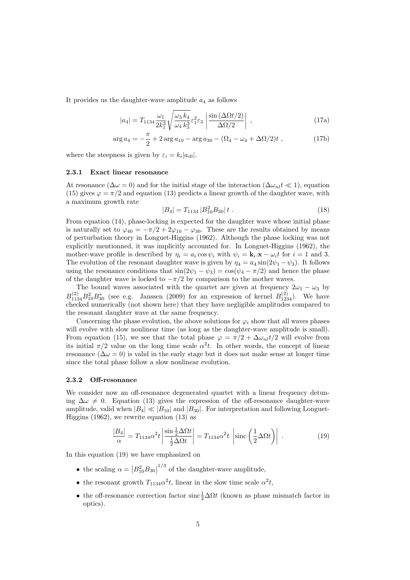It provides us the daughter-wave amplitude  $a_4$  as follows

$$
|a_4| = T_{1134} \frac{\omega_1}{2k_1^3} \sqrt{\frac{\omega_3 k_4}{\omega_4 k_3^3}} \varepsilon_1^2 \varepsilon_3 \left| \frac{\sin \left(\Delta \Omega t/2\right)}{\Delta \Omega/2} \right| , \qquad (17a)
$$

$$
\arg a_4 = -\frac{\pi}{2} + 2\arg a_{10} - \arg a_{30} - (\Omega_4 - \omega_4 + \Delta\Omega/2)t , \qquad (17b)
$$

where the steepness is given by  $\varepsilon_i = k_i |a_{i0}|$ .

#### 2.3.1 Exact linear resonance

At resonance ( $\Delta\omega = 0$ ) and for the initial stage of the interaction ( $\Delta\omega_{nl}t \ll 1$ ), equation (15) gives  $\varphi = \pi/2$  and equation (13) predicts a linear growth of the daughter wave, with a maximum growth rate

$$
|B_4| = T_{1134} |B_{10}^2 B_{30}| t . \t\t(18)
$$

From equation (14), phase-locking is expected for the daughter wave whose initial phase is naturally set to  $\varphi_{40} = -\pi/2 + 2\varphi_{10} - \varphi_{30}$ . These are the results obtained by means of perturbation theory in Longuet-Higgins (1962). Although the phase locking was not explicitly mentionned, it was implicitly accounted for. In Longuet-Higgins (1962), the mother-wave profile is described by  $\eta_i = a_i \cos \psi_i$  with  $\psi_i = \mathbf{k}_i \cdot \mathbf{x} - \omega_i t$  for  $i = 1$  and 3. The evolution of the resonant daughter wave is given by  $\eta_4 = a_4 \sin(2\psi_1 - \psi_3)$ . It follows using the resonance conditions that  $sin(2\psi_1 - \psi_3) = cos(\psi_4 - \pi/2)$  and hence the phase of the daughter wave is locked to  $-\pi/2$  by comparison to the mother waves.

The bound waves associated with the quartet are given at frequency  $2\omega_1 - \omega_3$  by  $B_{1134}^{(2)}B_{10}^{2}B_{30}^{*}$  (see e.g. Janssen (2009) for an expression of kernel  $B_{1234}^{(2)}$ ). We have checked numerically (not shown here) that they have negligible amplitudes compared to the resonant daughter wave at the same frequency.

Concerning the phase evolution, the above solutions for  $\varphi_i$  show that all waves phases will evolve with slow nonlinear time (as long as the daughter-wave amplitude is small). From equation (15), we see that the total phase  $\varphi = \pi/2 + \Delta \omega_{nl} t/2$  will evolve from its initial  $\pi/2$  value on the long time scale  $\alpha^2 t$ . In other words, the concept of linear resonance ( $\Delta\omega = 0$ ) is valid in the early stage but it does not make sense at longer time since the total phase follow a slow nonlinear evolution.

## 2.3.2 Off-resonance

We consider now an off-resonance degenerated quartet with a linear frequency detuning  $\Delta\omega \neq 0$ . Equation (13) gives the expression of the off-resonance daughter-wave amplitude, valid when  $|B_4| \ll |B_{10}|$  and  $|B_{30}|$ . For interpretation and following Longuet-Higgins (1962), we rewrite equation (13) as

$$
\frac{|B_4|}{\alpha} = T_{1134} \alpha^2 t \left| \frac{\sin \frac{1}{2} \Delta \Omega t}{\frac{1}{2} \Delta \Omega t} \right| = T_{1134} \alpha^2 t \left| \text{sinc} \left( \frac{1}{2} \Delta \Omega t \right) \right| \,. \tag{19}
$$

In this equation (19) we have emphasized on

- the scaling  $\alpha = |B_{10}^2 B_{30}|$  $1/3$  of the daughter-wave amplitude,
- the resonant growth  $T_{1134}\alpha^2 t$ , linear in the slow time scale  $\alpha^2 t$ ,
- the off-resonance correction factor  $\sin \frac{1}{2} \Delta \Omega t$  (known as phase mismatch factor in optics).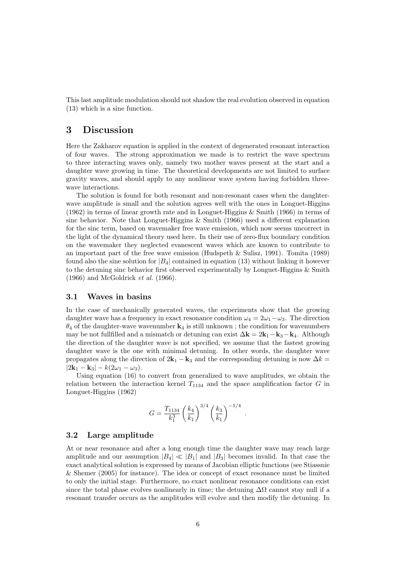This last amplitude modulation should not shadow the real evolution observed in equation (13) which is a sine function.

# 3 Discussion

Here the Zakharov equation is applied in the context of degenerated resonant interaction of four waves. The strong approximation we made is to restrict the wave spectrum to three interacting waves only, namely two mother waves present at the start and a daughter wave growing in time. The theoretical developments are not limited to surface gravity waves, and should apply to any nonlinear wave system having forbidden threewave interactions.

The solution is found for both resonant and non-resonant cases when the daughterwave amplitude is small and the solution agrees well with the ones in Longuet-Higgins (1962) in terms of linear growth rate and in Longuet-Higgins & Smith (1966) in terms of sinc behavior. Note that Longuet-Higgins  $\&$  Smith (1966) used a different explanation for the sinc term, based on wavemaker free wave emission, which now seems uncorrect in the light of the dynamical theory used here. In their use of zero-flux boundary condition on the wavemaker they neglected evanescent waves which are known to contribute to an important part of the free wave emission (Hudspeth & Sulisz, 1991). Tomita (1989) found also the sine solution for  $|B_4|$  contained in equation (13) without linking it however to the detuning sinc behavior first observed experimentally by Longuet-Higgins & Smith  $(1966)$  and McGoldrick *et al.*  $(1966)$ .

## 3.1 Waves in basins

In the case of mechanically generated waves, the experiments show that the growing daughter wave has a frequency in exact resonance condition  $\omega_4 = 2\omega_1 - \omega_3$ . The direction  $\theta_4$  of the daughter-wave wavenumber  $\mathbf{k}_4$  is still unknown; the condition for wavenumbers may be not fullfilled and a mismatch or detuning can exist  $\Delta \mathbf{k} = 2\mathbf{k}_1 - \mathbf{k}_3 - \mathbf{k}_4$ . Although the direction of the daughter wave is not specified, we assume that the fastest growing daughter wave is the one with minimal detuning. In other words, the daughter wave propagates along the direction of  $2k_1 - k_3$  and the corresponding detuning is now  $\Delta k =$  $|2\mathbf{k}_1 - \mathbf{k}_3| - k(2\omega_1 - \omega_3).$ 

Using equation (16) to convert from generalized to wave amplitudes, we obtain the relation between the interaction kernel  $T_{1134}$  and the space amplification factor G in Longuet-Higgins (1962)

$$
G = \frac{T_{1134}}{k_1^3} \left(\frac{k_4}{k_1}\right)^{3/4} \left(\frac{k_3}{k_1}\right)^{-5/4}
$$

.

## 3.2 Large amplitude

At or near resonance and after a long enough time the daughter wave may reach large amplitude and our assumption  $|B_4| \ll |B_1|$  and  $|B_3|$  becomes invalid. In that case the exact analytical solution is expressed by means of Jacobian elliptic functions (see Stiassnie & Shemer (2005) for instance). The idea or concept of exact resonance must be limited to only the initial stage. Furthermore, no exact nonlinear resonance conditions can exist since the total phase evolves nonlinearly in time; the detuning  $\Delta\Omega$  cannot stay null if a resonant transfer occurs as the amplitudes will evolve and then modify the detuning. In